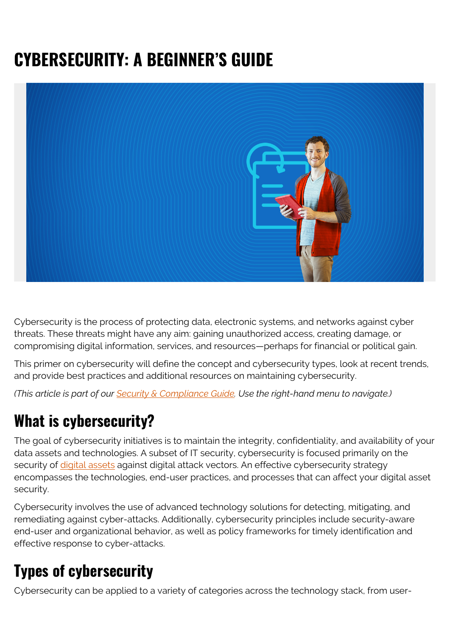# **CYBERSECURITY: A BEGINNER'S GUIDE**



Cybersecurity is the process of protecting data, electronic systems, and networks against cyber threats. These threats might have any aim: gaining unauthorized access, creating damage, or compromising digital information, services, and resources—perhaps for financial or political gain.

This primer on cybersecurity will define the concept and cybersecurity types, look at recent trends, and provide best practices and additional resources on maintaining cybersecurity.

*(This article is part of our [Security & Compliance Guide](https://blogs.bmc.com/blogs/security-introduction/). Use the right-hand menu to navigate.)*

## **What is cybersecurity?**

The goal of cybersecurity initiatives is to maintain the integrity, confidentiality, and availability of your data assets and technologies. A subset of IT security, cybersecurity is focused primarily on the security of [digital assets](https://blogs.bmc.com/blogs/asset-management-vs-configuration-management/) against digital attack vectors. An effective cybersecurity strategy encompasses the technologies, end-user practices, and processes that can affect your digital asset security.

Cybersecurity involves the use of advanced technology solutions for detecting, mitigating, and remediating against cyber-attacks. Additionally, cybersecurity principles include security-aware end-user and organizational behavior, as well as policy frameworks for timely identification and effective response to cyber-attacks.

# **Types of cybersecurity**

Cybersecurity can be applied to a variety of categories across the technology stack, from user-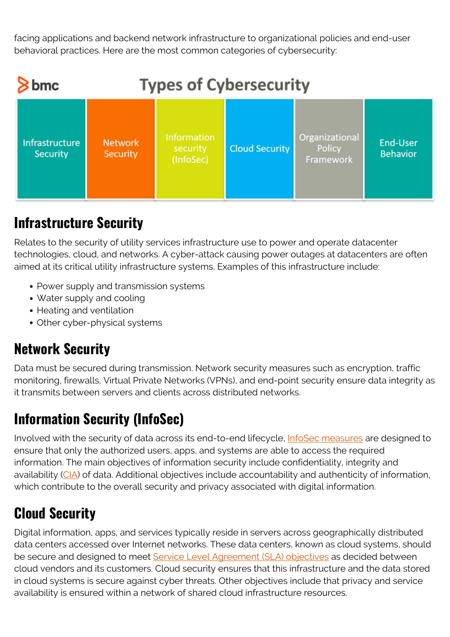facing applications and backend network infrastructure to organizational policies and end-user behavioral practices. Here are the most common categories of cybersecurity:



## **Infrastructure Security**

Relates to the security of utility services infrastructure use to power and operate datacenter technologies, cloud, and networks. A cyber-attack causing power outages at datacenters are often aimed at its critical utility infrastructure systems. Examples of this infrastructure include:

- Power supply and transmission systems
- Water supply and cooling
- Heating and ventilation
- Other cyber-physical systems

#### **Network Security**

Data must be secured during transmission. Network security measures such as encryption, traffic monitoring, firewalls, Virtual Private Networks (VPNs), and end-point security ensure data integrity as it transmits between servers and clients across distributed networks.

#### **Information Security (InfoSec)**

Involved with the security of data across its end-to-end lifecycle, [InfoSec measures](https://blogs.bmc.com/blogs/introduction-to-information-security-management-systems-isms/) are designed to ensure that only the authorized users, apps, and systems are able to access the required information. The main objectives of information security include confidentiality, integrity and availability [\(CIA\)](https://www.geeksforgeeks.org/what-is-information-security/) of data. Additional objectives include accountability and authenticity of information, which contribute to the overall security and privacy associated with digital information.

## **Cloud Security**

Digital information, apps, and services typically reside in servers across geographically distributed data centers accessed over Internet networks. These data centers, known as cloud systems, should be secure and designed to meet [Service Level Agreement \(SLA\) objectives](https://blogs.bmc.com/blogs/sla-template-examples/) as decided between cloud vendors and its customers. Cloud security ensures that this infrastructure and the data stored in cloud systems is secure against cyber threats. Other objectives include that privacy and service availability is ensured within a network of shared cloud infrastructure resources.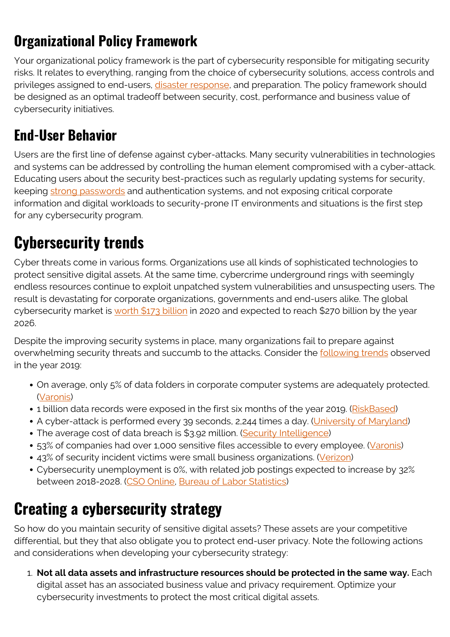## **Organizational Policy Framework**

Your organizational policy framework is the part of cybersecurity responsible for mitigating security risks. It relates to everything, ranging from the choice of cybersecurity solutions, access controls and privileges assigned to end-users, *disaster response*, and preparation. The policy framework should be designed as an optimal tradeoff between security, cost, performance and business value of cybersecurity initiatives.

#### **End-User Behavior**

Users are the first line of defense against cyber-attacks. Many security vulnerabilities in technologies and systems can be addressed by controlling the human element compromised with a cyber-attack. Educating users about the security best-practices such as regularly updating systems for security, keeping [strong passwords](https://blogs.bmc.com/blogs/enterprise-password-management-best-practices/) and authentication systems, and not exposing critical corporate information and digital workloads to security-prone IT environments and situations is the first step for any cybersecurity program.

## **Cybersecurity trends**

Cyber threats come in various forms. Organizations use all kinds of sophisticated technologies to protect sensitive digital assets. At the same time, cybercrime underground rings with seemingly endless resources continue to exploit unpatched system vulnerabilities and unsuspecting users. The result is devastating for corporate organizations, governments and end-users alike. The global cybersecurity market is [worth \\$173 billion](http://forbes.com/sites/louiscolumbus/2020/04/05/2020-roundup-of-cybersecurity-forecasts-and-market-estimates/#21a38391381d) in 2020 and expected to reach \$270 billion by the year 2026.

Despite the improving security systems in place, many organizations fail to prepare against overwhelming security threats and succumb to the attacks. Consider the **following trends** observed in the year 2019:

- On average, only 5% of data folders in corporate computer systems are adequately protected. ([Varonis](https://www.varonis.com/2019-data-risk-report/))
- 1 billion data records were exposed in the first six months of the year 2019. ([RiskBased](https://pages.riskbasedsecurity.com/2019-midyear-data-breach-quickview-report))
- A cyber-attack is performed every 39 seconds, 2,244 times a day. [\(University of Maryland\)](https://eng.umd.edu/news/story/study-hackers-attack-every-39-seconds)
- The average cost of data breach is \$3.92 million. [\(Security Intelligence\)](https://securityintelligence.com/posts/whats-new-in-the-2019-cost-of-a-data-breach-report/)
- 53% of companies had over 1,000 sensitive files accessible to every employee. [\(Varonis\)](https://www.varonis.com/2019-data-risk-report/)
- 43% of security incident victims were small business organizations. ([Verizon\)](https://enterprise.verizon.com/en-gb/resources/reports/dbir/)
- Cybersecurity unemployment is 0%, with related job postings expected to increase by 32% between 2018-2028. ([CSO Online](https://www.csoonline.com/article/3120998/zero-percent-cybersecurity-unemployment-1-million-jobs-unfilled.html), [Bureau of Labor Statistics\)](https://www.bls.gov/ooh/computer-and-information-technology/information-security-analysts.htm)

# **Creating a cybersecurity strategy**

So how do you maintain security of sensitive digital assets? These assets are your competitive differential, but they that also obligate you to protect end-user privacy. Note the following actions and considerations when developing your cybersecurity strategy:

1. **Not all data assets and infrastructure resources should be protected in the same way.** Each digital asset has an associated business value and privacy requirement. Optimize your cybersecurity investments to protect the most critical digital assets.